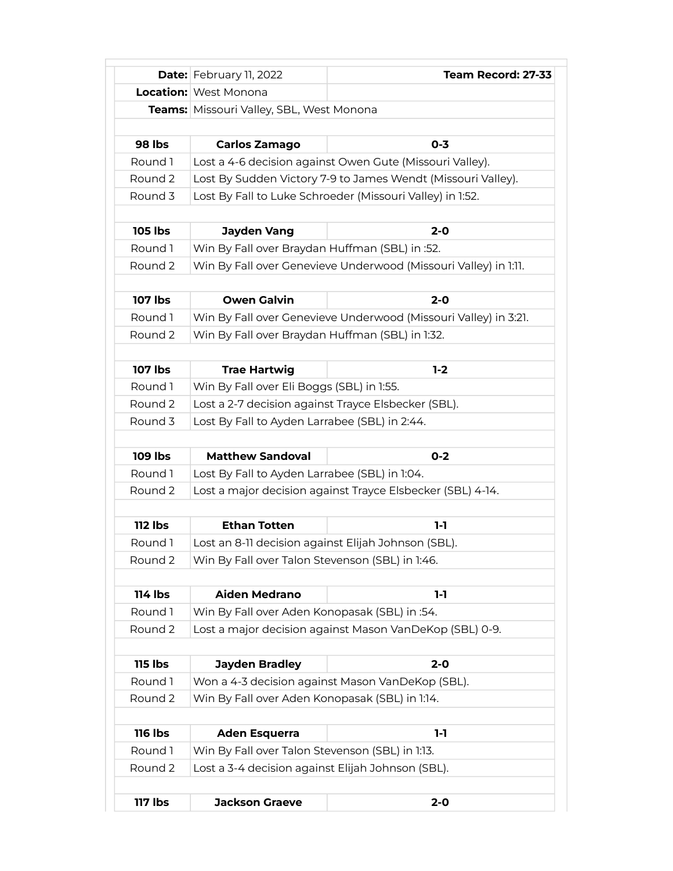|                | Date: February 11, 2022                                                                                  | Team Record: 27-33                                              |
|----------------|----------------------------------------------------------------------------------------------------------|-----------------------------------------------------------------|
|                | <b>Location:</b> West Monona                                                                             |                                                                 |
|                | Teams: Missouri Valley, SBL, West Monona                                                                 |                                                                 |
|                |                                                                                                          |                                                                 |
| <b>98 lbs</b>  | <b>Carlos Zamago</b>                                                                                     | $0 - 3$                                                         |
| Round 1        | Lost a 4-6 decision against Owen Gute (Missouri Valley).                                                 |                                                                 |
| Round 2        |                                                                                                          | Lost By Sudden Victory 7-9 to James Wendt (Missouri Valley).    |
| Round 3        | Lost By Fall to Luke Schroeder (Missouri Valley) in 1:52.                                                |                                                                 |
| <b>105 lbs</b> | <b>Jayden Vang</b>                                                                                       | $2 - 0$                                                         |
| Round 1        | Win By Fall over Braydan Huffman (SBL) in :52.                                                           |                                                                 |
| Round 2        |                                                                                                          | Win By Fall over Genevieve Underwood (Missouri Valley) in 1:11. |
|                |                                                                                                          |                                                                 |
| 107 lbs        | <b>Owen Galvin</b>                                                                                       | $2 - 0$                                                         |
| Round 1        |                                                                                                          | Win By Fall over Genevieve Underwood (Missouri Valley) in 3:21. |
| Round 2        | Win By Fall over Braydan Huffman (SBL) in 1:32.                                                          |                                                                 |
|                |                                                                                                          |                                                                 |
| <b>107 lbs</b> | <b>Trae Hartwig</b>                                                                                      | $1-2$                                                           |
| Round 1        | Win By Fall over Eli Boggs (SBL) in 1:55.                                                                |                                                                 |
| Round 2        | Lost a 2-7 decision against Trayce Elsbecker (SBL).                                                      |                                                                 |
| Round 3        | Lost By Fall to Ayden Larrabee (SBL) in 2:44.                                                            |                                                                 |
|                |                                                                                                          |                                                                 |
| <b>109 lbs</b> | <b>Matthew Sandoval</b>                                                                                  | $0 - 2$                                                         |
| Round 1        | Lost By Fall to Ayden Larrabee (SBL) in 1:04.                                                            |                                                                 |
| Round 2        |                                                                                                          | Lost a major decision against Trayce Elsbecker (SBL) 4-14.      |
|                |                                                                                                          |                                                                 |
| <b>112 lbs</b> | <b>Ethan Totten</b>                                                                                      | $1-1$                                                           |
| Round 1        | Lost an 8-11 decision against Elijah Johnson (SBL).                                                      |                                                                 |
| Round 2        | Win By Fall over Talon Stevenson (SBL) in 1:46.                                                          |                                                                 |
| 114 lbs        | <b>Aiden Medrano</b>                                                                                     | $1-1$                                                           |
| Round 1        |                                                                                                          |                                                                 |
| Round 2        | Win By Fall over Aden Konopasak (SBL) in :54.<br>Lost a major decision against Mason VanDeKop (SBL) 0-9. |                                                                 |
|                |                                                                                                          |                                                                 |
| <b>115 lbs</b> | <b>Jayden Bradley</b>                                                                                    | $2 - 0$                                                         |
| Round 1        |                                                                                                          | Won a 4-3 decision against Mason VanDeKop (SBL).                |
| Round 2        | Win By Fall over Aden Konopasak (SBL) in 1:14.                                                           |                                                                 |
| <b>116 lbs</b> | <b>Aden Esquerra</b>                                                                                     | $1-1$                                                           |
| Round 1        | Win By Fall over Talon Stevenson (SBL) in 1:13.                                                          |                                                                 |
| Round 2        | Lost a 3-4 decision against Elijah Johnson (SBL).                                                        |                                                                 |
|                |                                                                                                          |                                                                 |
| <b>117 lbs</b> | <b>Jackson Graeve</b>                                                                                    | $2 - 0$                                                         |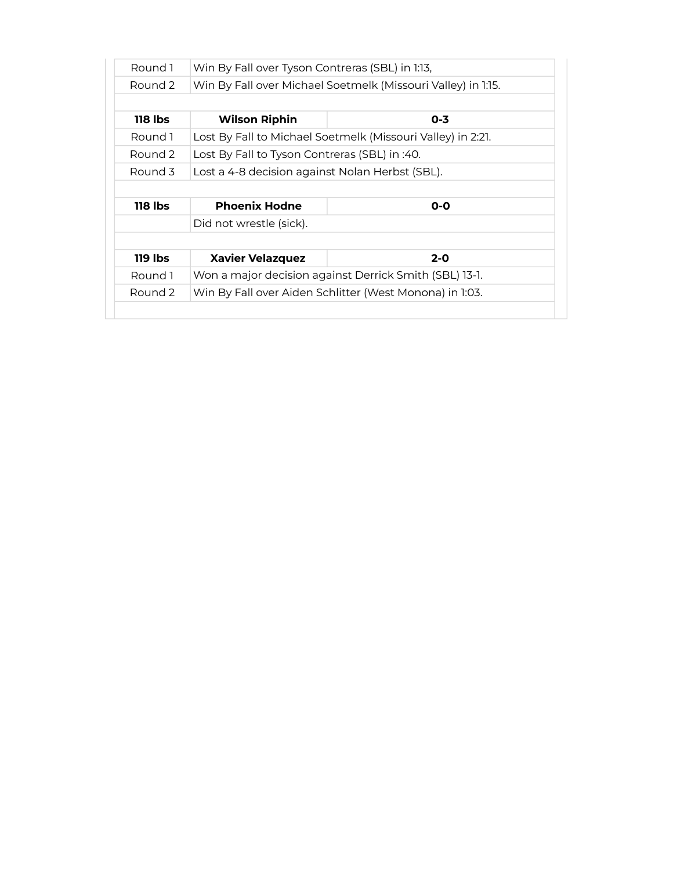| Round 1        | Win By Fall over Tyson Contreras (SBL) in 1:13,              |                                                        |
|----------------|--------------------------------------------------------------|--------------------------------------------------------|
| Round 2        | Win By Fall over Michael Soetmelk (Missouri Valley) in 1:15. |                                                        |
|                |                                                              |                                                        |
| 118 lbs        | <b>Wilson Riphin</b>                                         | 0-3                                                    |
| Round 1        | Lost By Fall to Michael Soetmelk (Missouri Valley) in 2:21.  |                                                        |
| Round 2        | Lost By Fall to Tyson Contreras (SBL) in :40.                |                                                        |
| Round 3        | Lost a 4-8 decision against Nolan Herbst (SBL).              |                                                        |
|                |                                                              |                                                        |
|                |                                                              |                                                        |
| <b>118 lbs</b> | <b>Phoenix Hodne</b>                                         | $0 - 0$                                                |
|                | Did not wrestle (sick).                                      |                                                        |
|                |                                                              |                                                        |
| 119 lbs        | <b>Xavier Velazquez</b>                                      | $2 - 0$                                                |
| Round 1        |                                                              | Won a major decision against Derrick Smith (SBL) 13-1. |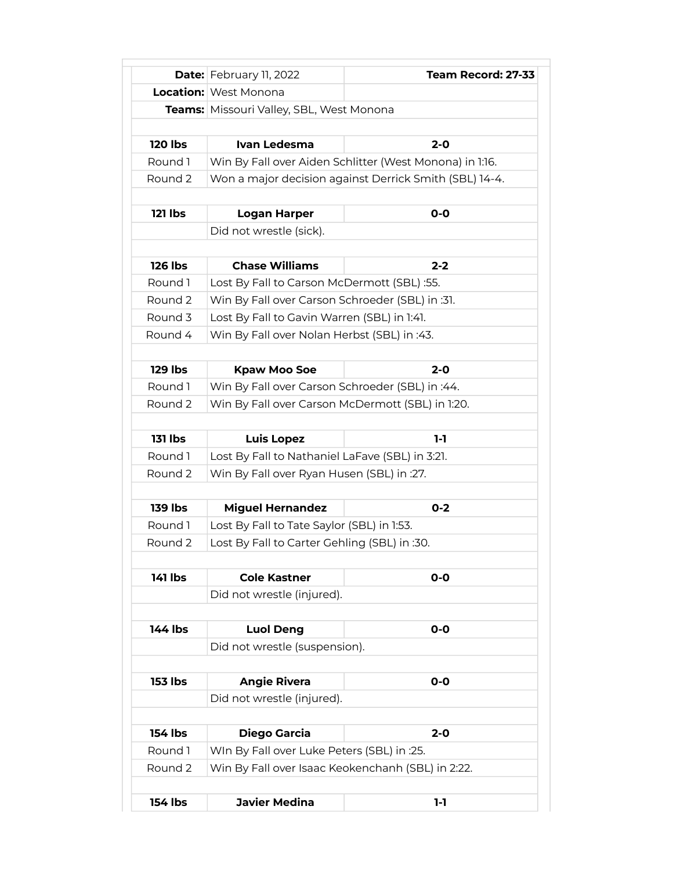|                | <b>Date:</b> February 11, 2022                    | Team Record: 27-33                                      |
|----------------|---------------------------------------------------|---------------------------------------------------------|
|                | <b>Location:</b> West Monona                      |                                                         |
|                | <b>Teams:</b> Missouri Valley, SBL, West Monona   |                                                         |
|                |                                                   |                                                         |
| <b>120 lbs</b> | Ivan Ledesma                                      | $2 - 0$                                                 |
| Round 1        |                                                   | Win By Fall over Aiden Schlitter (West Monona) in 1:16. |
| Round 2        |                                                   | Won a major decision against Derrick Smith (SBL) 14-4.  |
|                |                                                   |                                                         |
| <b>121 lbs</b> | <b>Logan Harper</b>                               | $O-O$                                                   |
|                | Did not wrestle (sick).                           |                                                         |
|                |                                                   |                                                         |
| <b>126 lbs</b> | <b>Chase Williams</b>                             | $2 - 2$                                                 |
| Round 1        | Lost By Fall to Carson McDermott (SBL) :55.       |                                                         |
| Round 2        | Win By Fall over Carson Schroeder (SBL) in :31.   |                                                         |
| Round 3        | Lost By Fall to Gavin Warren (SBL) in 1:41.       |                                                         |
| Round 4        | Win By Fall over Nolan Herbst (SBL) in :43.       |                                                         |
|                |                                                   |                                                         |
| <b>129 lbs</b> | <b>Kpaw Moo Soe</b>                               | $2 - 0$                                                 |
| Round 1        | Win By Fall over Carson Schroeder (SBL) in :44.   |                                                         |
| Round 2        | Win By Fall over Carson McDermott (SBL) in 1:20.  |                                                         |
|                |                                                   |                                                         |
| <b>131 lbs</b> | <b>Luis Lopez</b>                                 | $1-1$                                                   |
| Round 1        | Lost By Fall to Nathaniel LaFave (SBL) in 3:21.   |                                                         |
| Round 2        | Win By Fall over Ryan Husen (SBL) in :27.         |                                                         |
|                |                                                   |                                                         |
| <b>139 lbs</b> | <b>Miguel Hernandez</b>                           | $0 - 2$                                                 |
| Round 1        | Lost By Fall to Tate Saylor (SBL) in 1:53.        |                                                         |
| Round 2        | Lost By Fall to Carter Gehling (SBL) in :30.      |                                                         |
|                |                                                   |                                                         |
| 141 lbs        | <b>Cole Kastner</b>                               | $O-O$                                                   |
|                | Did not wrestle (injured).                        |                                                         |
| 144 lbs        | <b>Luol Deng</b>                                  | $O-O$                                                   |
|                | Did not wrestle (suspension).                     |                                                         |
|                |                                                   |                                                         |
| <b>153 lbs</b> | <b>Angie Rivera</b>                               | $O-O$                                                   |
|                | Did not wrestle (injured).                        |                                                         |
|                |                                                   |                                                         |
| 154 lbs        | Diego Garcia                                      | $2 - 0$                                                 |
| Round 1        | WIn By Fall over Luke Peters (SBL) in :25.        |                                                         |
| Round 2        | Win By Fall over Isaac Keokenchanh (SBL) in 2:22. |                                                         |
|                |                                                   |                                                         |
| <b>154 lbs</b> | <b>Javier Medina</b>                              | 1-1                                                     |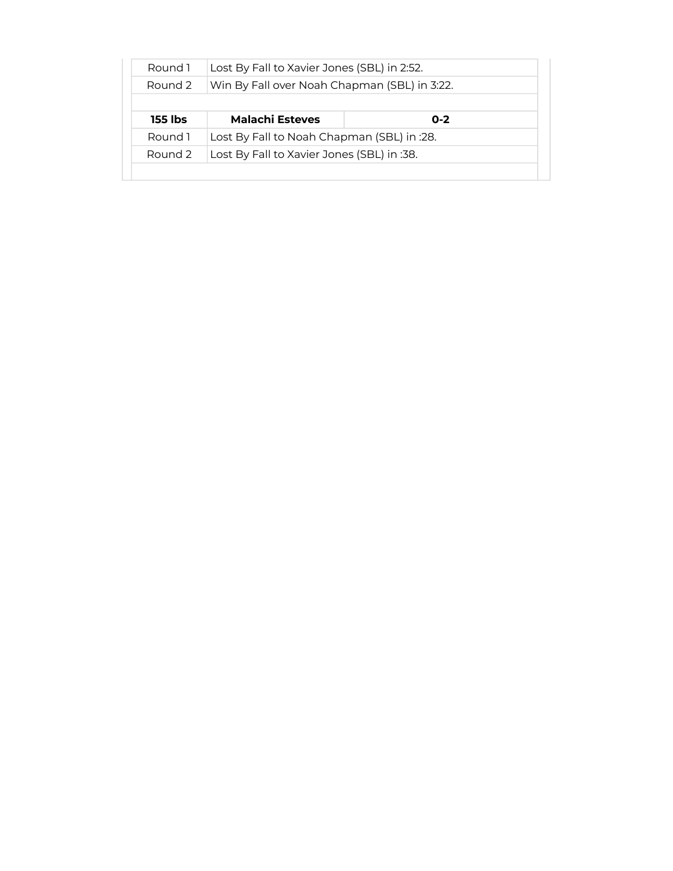| Round 1 | Lost By Fall to Xavier Jones (SBL) in 2:52.  |         |  |
|---------|----------------------------------------------|---------|--|
| Round 2 | Win By Fall over Noah Chapman (SBL) in 3:22. |         |  |
|         |                                              |         |  |
| 155 lbs | <b>Malachi Esteves</b>                       | $0 - 2$ |  |
| Round 1 | Lost By Fall to Noah Chapman (SBL) in :28.   |         |  |
| Round 2 | Lost By Fall to Xavier Jones (SBL) in :38.   |         |  |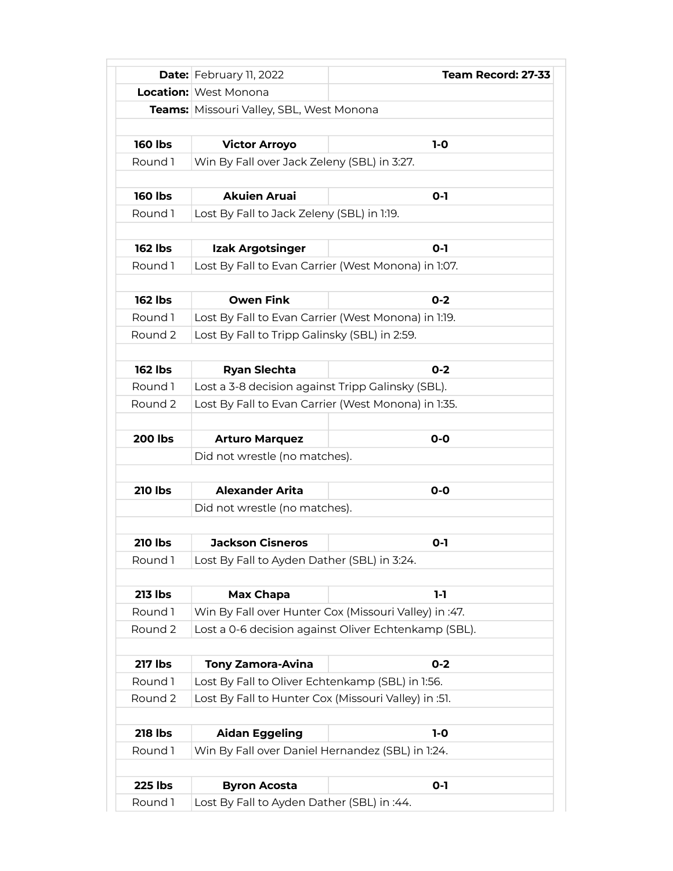|                | <b>Date:</b> February 11, 2022                       | Team Record: 27-33                                    |
|----------------|------------------------------------------------------|-------------------------------------------------------|
|                | <b>Location:</b> West Monona                         |                                                       |
|                | Teams: Missouri Valley, SBL, West Monona             |                                                       |
|                |                                                      |                                                       |
| <b>160 lbs</b> | <b>Victor Arroyo</b>                                 | $1-0$                                                 |
| Round 1        | Win By Fall over Jack Zeleny (SBL) in 3:27.          |                                                       |
|                |                                                      |                                                       |
| <b>160 lbs</b> | <b>Akuien Aruai</b>                                  | $O-I$                                                 |
| Round 1        | Lost By Fall to Jack Zeleny (SBL) in 1:19.           |                                                       |
|                |                                                      |                                                       |
| <b>162 lbs</b> | Izak Argotsinger                                     | $O-I$                                                 |
| Round 1        |                                                      | Lost By Fall to Evan Carrier (West Monona) in 1:07.   |
| <b>162 lbs</b> | <b>Owen Fink</b>                                     | $0 - 2$                                               |
| Round 1        |                                                      |                                                       |
|                |                                                      | Lost By Fall to Evan Carrier (West Monona) in 1:19.   |
| Round 2        | Lost By Fall to Tripp Galinsky (SBL) in 2:59.        |                                                       |
| <b>162 lbs</b> | <b>Ryan Slechta</b>                                  | $0 - 2$                                               |
| Round 1        | Lost a 3-8 decision against Tripp Galinsky (SBL).    |                                                       |
| Round 2        |                                                      | Lost By Fall to Evan Carrier (West Monona) in 1:35.   |
|                |                                                      |                                                       |
| <b>200 lbs</b> | <b>Arturo Marquez</b>                                | $O-O$                                                 |
|                | Did not wrestle (no matches).                        |                                                       |
|                |                                                      |                                                       |
| <b>210 lbs</b> | <b>Alexander Arita</b>                               | $O-O$                                                 |
|                | Did not wrestle (no matches).                        |                                                       |
|                |                                                      |                                                       |
| <b>210 lbs</b> | <b>Jackson Cisneros</b>                              | $O-I$                                                 |
| Round 1        | Lost By Fall to Ayden Dather (SBL) in 3:24.          |                                                       |
|                |                                                      |                                                       |
| <b>213 lbs</b> | Max Chapa                                            | $1-1$                                                 |
| Round 1        |                                                      | Win By Fall over Hunter Cox (Missouri Valley) in :47. |
| Round 2        |                                                      | Lost a 0-6 decision against Oliver Echtenkamp (SBL).  |
|                |                                                      |                                                       |
| <b>217 lbs</b> | <b>Tony Zamora-Avina</b>                             | $0 - 2$                                               |
| Round 1        | Lost By Fall to Oliver Echtenkamp (SBL) in 1:56.     |                                                       |
| Round 2        | Lost By Fall to Hunter Cox (Missouri Valley) in :51. |                                                       |
|                |                                                      |                                                       |
| <b>218 lbs</b> | <b>Aidan Eggeling</b>                                | $1-0$                                                 |
| Round 1        | Win By Fall over Daniel Hernandez (SBL) in 1:24.     |                                                       |
| <b>225 lbs</b> | <b>Byron Acosta</b>                                  | $O-I$                                                 |
| Round 1        | Lost By Fall to Ayden Dather (SBL) in :44.           |                                                       |